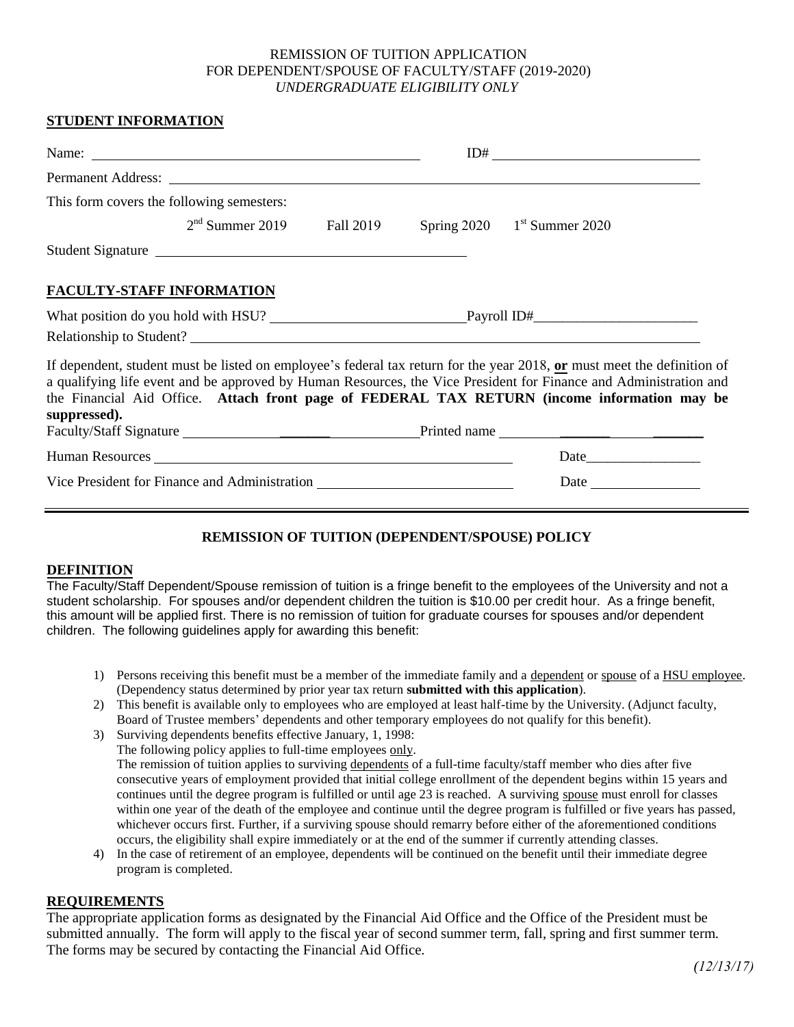#### REMISSION OF TUITION APPLICATION FOR DEPENDENT/SPOUSE OF FACULTY/STAFF (2019-2020) *UNDERGRADUATE ELIGIBILITY ONLY*

### **STUDENT INFORMATION**

| This form covers the following semesters:                                                                                                                                                                                                                                                                                                                    |                                           |
|--------------------------------------------------------------------------------------------------------------------------------------------------------------------------------------------------------------------------------------------------------------------------------------------------------------------------------------------------------------|-------------------------------------------|
| $2nd$ Summer 2019 Fall 2019                                                                                                                                                                                                                                                                                                                                  | Spring $2020$ 1 <sup>st</sup> Summer 2020 |
| Student Signature                                                                                                                                                                                                                                                                                                                                            |                                           |
| <b>FACULTY-STAFF INFORMATION</b>                                                                                                                                                                                                                                                                                                                             |                                           |
|                                                                                                                                                                                                                                                                                                                                                              |                                           |
|                                                                                                                                                                                                                                                                                                                                                              |                                           |
| If dependent, student must be listed on employee's federal tax return for the year 2018, or must meet the definition of<br>a qualifying life event and be approved by Human Resources, the Vice President for Finance and Administration and<br>the Financial Aid Office. Attach front page of FEDERAL TAX RETURN (income information may be<br>suppressed). |                                           |
|                                                                                                                                                                                                                                                                                                                                                              |                                           |
| Human Resources New York and Section 1989.                                                                                                                                                                                                                                                                                                                   |                                           |
| Vice President for Finance and Administration                                                                                                                                                                                                                                                                                                                |                                           |

## **REMISSION OF TUITION (DEPENDENT/SPOUSE) POLICY**

#### **DEFINITION**

The Faculty/Staff Dependent/Spouse remission of tuition is a fringe benefit to the employees of the University and not a student scholarship. For spouses and/or dependent children the tuition is \$10.00 per credit hour. As a fringe benefit, this amount will be applied first. There is no remission of tuition for graduate courses for spouses and/or dependent children. The following guidelines apply for awarding this benefit:

- 1) Persons receiving this benefit must be a member of the immediate family and a dependent or spouse of a HSU employee. (Dependency status determined by prior year tax return **submitted with this application**).
- 2) This benefit is available only to employees who are employed at least half-time by the University. (Adjunct faculty, Board of Trustee members' dependents and other temporary employees do not qualify for this benefit).
- 3) Surviving dependents benefits effective January, 1, 1998: The following policy applies to full-time employees only. The remission of tuition applies to surviving dependents of a full-time faculty/staff member who dies after five consecutive years of employment provided that initial college enrollment of the dependent begins within 15 years and continues until the degree program is fulfilled or until age 23 is reached. A surviving spouse must enroll for classes within one year of the death of the employee and continue until the degree program is fulfilled or five years has passed, whichever occurs first. Further, if a surviving spouse should remarry before either of the aforementioned conditions occurs, the eligibility shall expire immediately or at the end of the summer if currently attending classes.
- 4) In the case of retirement of an employee, dependents will be continued on the benefit until their immediate degree program is completed.

#### **REQUIREMENTS**

The appropriate application forms as designated by the Financial Aid Office and the Office of the President must be submitted annually. The form will apply to the fiscal year of second summer term, fall, spring and first summer term. The forms may be secured by contacting the Financial Aid Office.